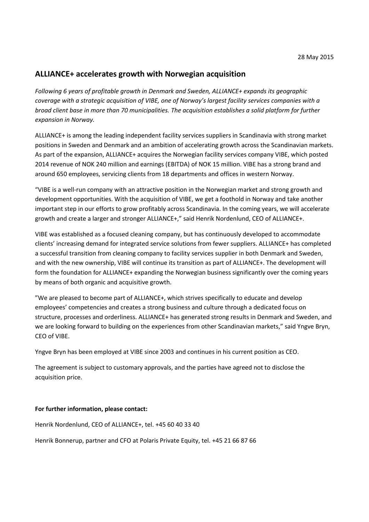# **ALLIANCE+ accelerates growth with Norwegian acquisition**

*Following 6 years of profitable growth in Denmark and Sweden, ALLIANCE+ expands its geographic coverage with a strategic acquisition of VIBE, one of Norway's largest facility services companies with a broad client base in more than 70 municipalities. The acquisition establishes a solid platform for further expansion in Norway.*

ALLIANCE+ is among the leading independent facility services suppliers in Scandinavia with strong market positions in Sweden and Denmark and an ambition of accelerating growth across the Scandinavian markets. As part of the expansion, ALLIANCE+ acquires the Norwegian facility services company VIBE, which posted 2014 revenue of NOK 240 million and earnings (EBITDA) of NOK 15 million. VIBE has a strong brand and around 650 employees, servicing clients from 18 departments and offices in western Norway.

"VIBE is a well-run company with an attractive position in the Norwegian market and strong growth and development opportunities. With the acquisition of VIBE, we get a foothold in Norway and take another important step in our efforts to grow profitably across Scandinavia. In the coming years, we will accelerate growth and create a larger and stronger ALLIANCE+," said Henrik Nordenlund, CEO of ALLIANCE+.

VIBE was established as a focused cleaning company, but has continuously developed to accommodate clients' increasing demand for integrated service solutions from fewer suppliers. ALLIANCE+ has completed a successful transition from cleaning company to facility services supplier in both Denmark and Sweden, and with the new ownership, VIBE will continue its transition as part of ALLIANCE+. The development will form the foundation for ALLIANCE+ expanding the Norwegian business significantly over the coming years by means of both organic and acquisitive growth.

"We are pleased to become part of ALLIANCE+, which strives specifically to educate and develop employees' competencies and creates a strong business and culture through a dedicated focus on structure, processes and orderliness. ALLIANCE+ has generated strong results in Denmark and Sweden, and we are looking forward to building on the experiences from other Scandinavian markets," said Yngve Bryn, CEO of VIBE.

Yngve Bryn has been employed at VIBE since 2003 and continues in his current position as CEO.

The agreement is subject to customary approvals, and the parties have agreed not to disclose the acquisition price.

### **For further information, please contact:**

Henrik Nordenlund, CEO of ALLIANCE+, tel. +45 60 40 33 40

Henrik Bonnerup, partner and CFO at Polaris Private Equity, tel. +45 21 66 87 66